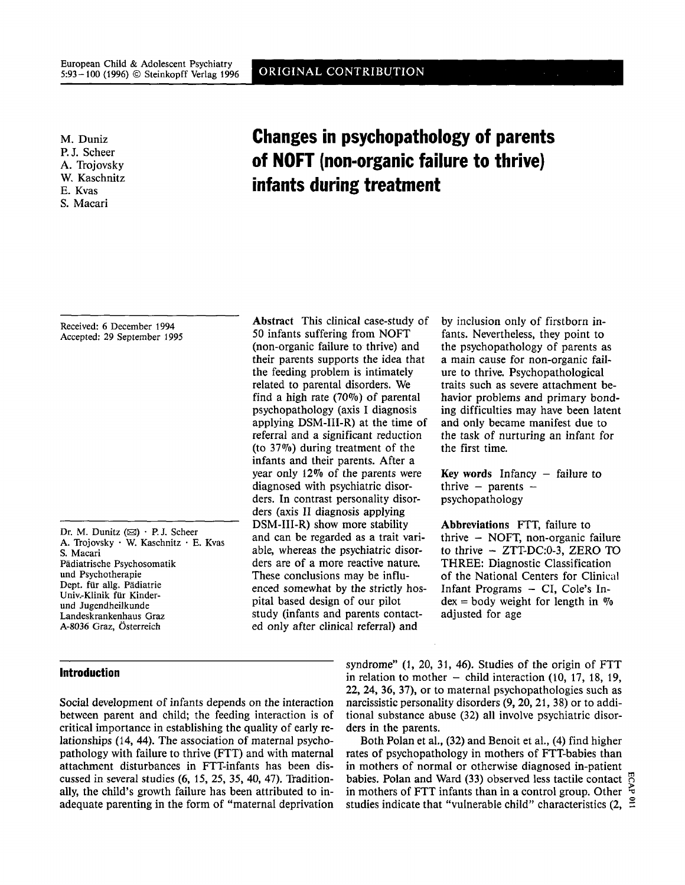ORIGINAL CONTRIBUTION

M. Duniz P.J. Scheer A. Trojovsky W. Kaschnitz E. Kvas S. Macari

#### Received: 6 December 1994 Accepted: 29 September 1995

Dr. M. Dunitz  $(\boxtimes)$  · P. J. Scheer A. Trojovsky · W. Kaschnitz · E. Kvas S. Macari Pädiatrische Psychosomatik und Psychotherapie Dept. fur allg. Padiatrie Univ.-Klinik für Kinderund Jugendheilkunde Landeskrankenhaus Graz A-8036 Graz, Osterreich

#### **Introduction**

Social development of infants depends on the interaction between parent and child; the feeding interaction is of critical importance in establishing the quality of early relationships (14, 44). The association of maternal psychopathology with failure to thrive (FTT) and with maternal attachment disturbances in FTT-infants has been discussed in several studies (6, 15, 25, 35, 40, 47). Traditionally, the child's growth failure has been attributed to inadequate parenting in the form of "maternal deprivation

# **Changes in psychopathology of parents of NOFT (non-organic failure to thrive) infants during treatment**

**Abstract** This clinical case-study of 50 infants suffering from NOFT (non-organic failure to thrive) and their parents supports the idea that the feeding problem is intimately related to parental disorders. We find a high rate  $(70\%)$  of parental psychopathology (axis I diagnosis applying DSM-III-R) at the time of referral and a significant reduction (to  $37\%$ ) during treatment of the infants and their parents. After a year only 12% of the parents were diagnosed with psychiatric disorders. In contrast personality disorders (axis II diagnosis applying DSM-III-R) show more stability and can be regarded as a trait variable, whereas the psychiatric disorders are of a more reactive nature. These conclusions may be influenced somewhat by the strictly hospital based design of our pilot study (infants and parents contacted only after clinical referral) and

by inclusion only of firstborn infants. Nevertheless, they point to the psychopathology of parents as a main cause for non-organic failure to thrive. Psychopathological traits such as severe attachment behavior problems and primary bonding difficulties may have been latent and only became manifest due to the task of nurturing an infant for the first time.

Key words Infancy  $-$  failure to thrive  $-$  parents  $$ psychopathology

**Abbreviations** FTT, failure to  $th$ rive  $-$  NOFT, non-organic failure to thrive - ZTT-DC:0-3, ZERO TO THREE: Diagnostic Classification of the National Centers for Clinical Infant Programs - CI, Cole's In $dex = body$  weight for length in  $%$ adjusted for age

syndrome" (1, 20, 31, 46). Studies of the origin of FTT in relation to mother  $-$  child interaction (10, 17, 18, 19, 22, 24, 36, 37), or to maternal psychopathologics such as narcissistic personality disorders (9, 20, 21, 38) or to additional substance abuse (32) all involve psychiatric disorders in the parents.

Both Polan et al., (32) and Benoit et al., (4) find higher rates of psychopathology in mothers of FTT-babies than in mothers of normal or otherwise diagnosed in-patient babies. Polan and Ward (33) observed less tactile contact in mothers of FTT infants than in a control group. Other  $\frac{1}{2}$ studies indicate that "vulnerable child" characteristics  $(2, \frac{3}{2})$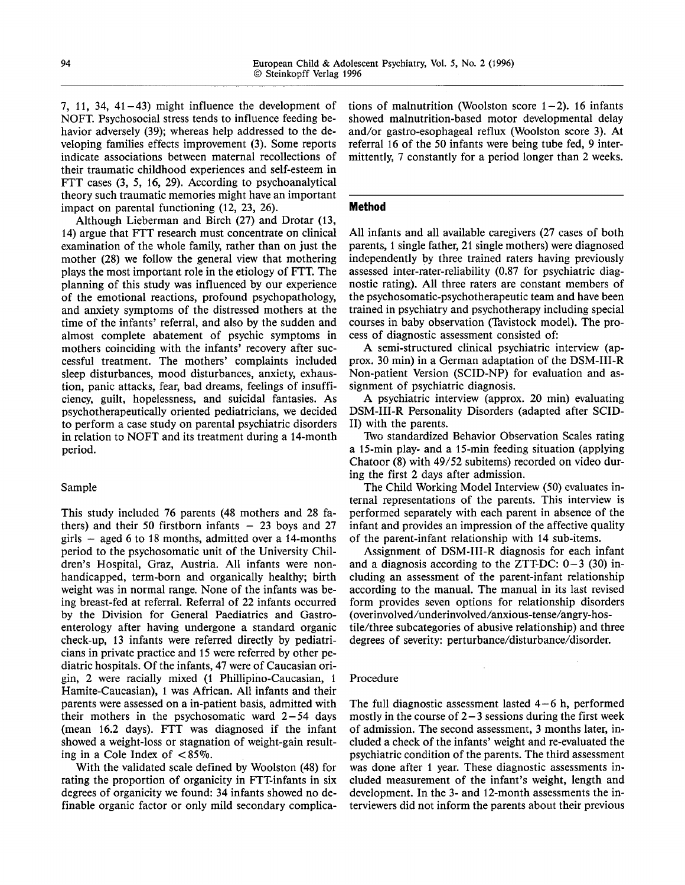7, 11, 34,  $41-43$ ) might influence the development of NOFT. Psychosocial stress tends to influence feeding behavior adversely (39); whereas help addressed to the developing families effects improvement (3). Some reports indicate associations between maternal recollections of their traumatic childhood experiences and self-esteem in FTT cases (3, 5, 16, 29). According to psychoanalytical theory such traumatic memories might have an important impact on parental functioning (12, 23, 26).

Although Lieberman and Birch (27) and Drotar (13, 14) argue that FTT research must concentrate on clinical examination of the whole family, rather than on just the mother (28) we follow the general view that mothering plays the most important role in the etiology of FTT. The planning of this study was influenced by our experience of the emotional reactions, profound psychopathology, and anxiety symptoms of the distressed mothers at the time of the infants' referral, and also by the sudden and almost complete abatement of psychic symptoms in mothers coinciding with the infants' recovery after successful treatment. The mothers' complaints included sleep disturbances, mood disturbances, anxiety, exhaustion, panic attacks, fear, bad dreams, feelings of insufficiency, guilt, hopelessness, and suicidal fantasies. As psychotherapeutically oriented pediatricians, we decided to perform a case study on parental psychiatric disorders in relation to NOFT and its treatment during a 14-month period.

# Sample

This study included 76 parents (48 mothers and 28 fathers) and their 50 firstborn infants  $-23$  boys and 27 girls  $-$  aged 6 to 18 months, admitted over a 14-months period to the psychosomatic unit of the University Children's Hospital, Graz, Austria. All infants were nonhandicapped, term-born and organically healthy; birth weight was in normal range. None of the infants was being breast-fed at referral. Referral of 22 infants occurred by the Division for General Paediatrics and Gastroenterology after having undergone a standard organic check-up, 13 infants were referred directly by pediatricians in private practice and 15 were referred by other pediatric hospitals. Of the infants, 47 were of Caucasian origin, 2 were racially mixed (I Phillipino-Caucasian, 1 Hamite-Caucasian), 1 was African. All infants and their parents were assessed on a in-patient basis, admitted with their mothers in the psychosomatic ward 2-54 days (mean 16.2 days). FTT was diagnosed if the infant showed a weight-loss or stagnation of weight-gain resulting in a Cole Index of  $< 85\%$ .

With the validated scale defined by Woolston (48) for rating the proportion of organicity in FTT-infants in six degrees of organicity we found: 34 infants showed no definable organic factor or only mild secondary complica-

tions of malnutrition (Woolston score  $1-2$ ). 16 infants showed malnutrition-based motor developmental delay and/or gastro-esophageal reflux (Woolston score 3). At referral 16 of the 50 infants were being tube fed, 9 intermittently, 7 constantly for a period longer than 2 weeks.

#### **Method**

All infants and all available caregivers (27 cases of both parents, 1 single father, 21 single mothers) were diagnosed independently by three trained raters having previously assessed inter-rater-reliability (0.87 for psychiatric diagnostic rating). All three raters are constant members of the psychosomatic-psychotherapeutic team and have been trained in psychiatry and psychotherapy including special courses in baby observation (Tavistock model). The process of diagnostic assessment consisted of:

A semi-structured clinical psychiatric interview (approx. 30 min) in a German adaptation of the DSM-III-R Non-patient Version (SCID-NP) for evaluation and assignment of psychiatric diagnosis.

A psychiatric interview (approx. 20 min) evaluating DSM-III-R Personality Disorders (adapted after SCID-II) with the parents.

Two standardized Behavior Observation Scales rating a 15-min play- and a 15-min feeding situation (applying Chatoor (8) with 49/52 subitems) recorded on video during the first 2 days after admission.

The Child Working Model Interview (50) evaluates internal representations of the parents. This interview is performed separately with each parent in absence of the infant and provides an impression of the affective quality of the parent-infant relationship with 14 sub-items.

Assignment of DSM-III-R diagnosis for each infant and a diagnosis according to the ZTT-DC:  $0-3$  (30) including an assessment of the parent-infant relationship according to the manual. The manual in its last revised form provides seven options for relationship disorders (overinvolved/underinvolved/anxious-tense/angry-hostile/three subcategories of abusive relationship) and three degrees of severity: perturbance/disturbance/disorder.

#### Procedure

The full diagnostic assessment lasted  $4-6$  h, performed mostly in the course of  $2-3$  sessions during the first week of admission. The second assessment, 3 months later, included a check of the infants' weight and re-evaluated the psychiatric condition of the parents. The third assessment was done after 1 year. These diagnostic assessments included measurement of the infant's weight, length and development. In the 3- and 12-month assessments the interviewers did not inform the parents about their previous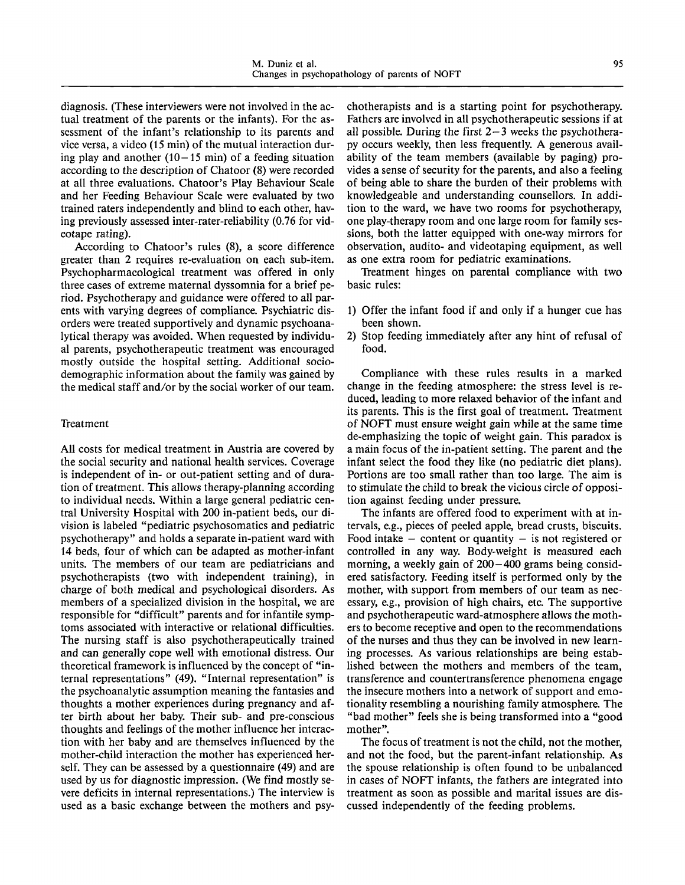diagnosis. (These interviewers were not involved in the actual treatment of the parents or the infants). For the assessment of the infant's relationship to its parents and vice versa, a video (15 min) of the mutual interaction during play and another  $(10-15 \text{ min})$  of a feeding situation according to the description of Chatoor (8) were recorded at all three evaluations. Chatoor's Play Behaviour Scale and her Feeding Behaviour Scale were evaluated by two trained raters independently and blind to each other, having previously assessed inter-rater-reliability (0.76 for videotape rating).

According to Chatoor's rules (8), a score difference greater than 2 requires re-evaluation on each sub-item. Psychopharmacological treatment was offered in only three cases of extreme maternal dyssomnia for a brief period. Psychotherapy and guidance were offered to all parents with varying degrees of compliance. Psychiatric disorders were treated supportively and dynamic psychoanalytical therapy was avoided. When requested by individual parents, psychotherapeutic treatment was encouraged mostly outside the hospital setting. Additional sociodemographic information about the family was gained by the medical staff and/or by the social worker of our team.

#### **Treatment**

All costs for medical treatment in Austria are covered by the social security and national health services. Coverage is independent of in- or out-patient setting and of duration of treatment. This allows therapy-planning according to individual needs. Within a large general pediatric central University Hospital with 200 in-patient beds, our division is labeled "pediatric psychosomatics and pediatric psychotherapy" and holds a separate in-patient ward with 14 beds, four of which can be adapted as mother-infant units. The members of our team are pediatricians and psychotherapists (two with independent training), in charge of both medical and psychological disorders. As members of a specialized division in the hospital, we are responsible for "difficult" parents and for infantile symptoms associated with interactive or relational difficulties. The nursing staff is also psychotherapeutically trained and can generally cope well with emotional distress. Our theoretical framework is influenced by the concept of "internal representations" (49). "Internal representation" is the psychoanalytic assumption meaning the fantasies and thoughts a mother experiences during pregnancy and after birth about her baby. Their sub- and pre-conscious thoughts and feelings of the mother influence her interaction with her baby and are themselves influenced by the mother-child interaction the mother has experienced herself. They can be assessed by a questionnaire (49) and are used by us for diagnostic impression. (We find mostly severe deficits in internal representations.) The interview is used as a basic exchange between the mothers and psy-

chotherapists and is a starting point for psychotherapy. Fathers are involved in all psychotherapeutic sessions if at all possible. During the first  $2-3$  weeks the psychotherapy occurs weekly, then less frequently. A generous availability of the team members (available by paging) provides a sense of security for the parents, and also a feeling of being able to share the burden of their problems with knowledgeable and understanding counsellors. In addition to the ward, we have two rooms for psychotherapy, one play-therapy room and one large room for family sessions, both the latter equipped with one-way mirrors for observation, audito- and videotaping equipment, as well as one extra room for pediatric examinations.

Treatment hinges on parental compliance with two basic rules:

- 1) Offer the infant food if and only if a hunger cue has been shown.
- 2) Stop feeding immediately after any hint of refusal of food.

Compliance with these rules results in a marked change in the feeding atmosphere: the stress level is reduced, leading to more relaxed behavior of the infant and its parents. This is the first goal of treatment. Treatment of NOFT must ensure weight gain while at the same time de-emphasizing the topic of weight gain. This paradox is a main focus of the in-patient setting. The parent and the infant select the food they like (no pediatric diet plans). Portions are too small rather than too large. The aim is to stimulate the child to break the vicious circle of opposition against feeding under pressure.

The infants are offered food to experiment with at intervals, e.g., pieces of peeled apple, bread crusts, biscuits. Food intake  $-$  content or quantity  $-$  is not registered or controlled in any way. Body-weight is measured each morning, a weekly gain of 200-400 grams being considered satisfactory. Feeding itself is performed only by the mother, with support from members of our team as necessary, e.g., provision of high chairs, etc. The supportive and psychotherapeutic ward-atmosphere allows the mothers to become receptive and open to the recommendations of the nurses and thus they can be involved in new learning processes. As various relationships are being established between the mothers and members of the team, transference and countertransference phenomena engage the insecure mothers into a network of support and emotionality resembling a nourishing family atmosphere. The "bad mother" feels she is being transformed into a "good mother".

The focus of treatment is not the child, not the mother, and not the food, but the parent-infant relationship. As the spouse relationship is often found to be unbalanced in cases of NOFT infants, the fathers are integrated into treatment as soon as possible and marital issues are discussed independently of the feeding problems.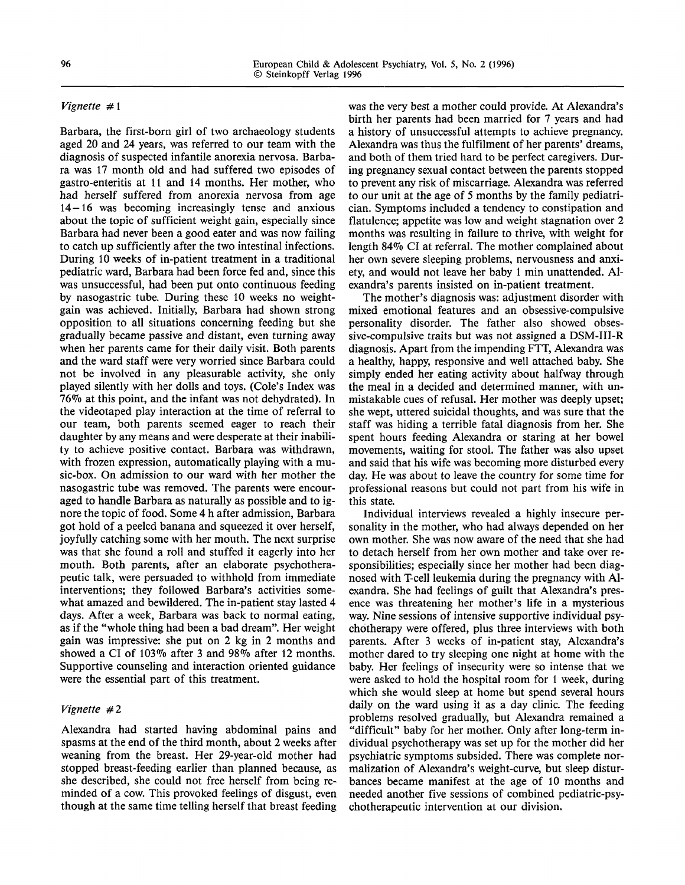#### *Vignette # I*

Barbara, the first-born girl of two archaeology students aged 20 and 24 years, was referred to our team with the diagnosis of suspected infantile anorexia nervosa. Barbara was 17 month old and had suffered two episodes of gastro-enteritis at 11 and 14 months. Her mother, who had herself suffered from anorexia nervosa from age 14-16 was becoming increasingly tense and anxious about the topic of sufficient weight gain, especially since Barbara had never been a good eater and was now failing to catch up sufficiently after the two intestinal infections. During 10 weeks of in-patient treatment in a traditional pediatric ward, Barbara had been force fed and, since this was unsuccessful, had been put onto continuous feeding by nasogastric tube. During these 10 weeks no weightgain was achieved. Initially, Barbara had shown strong opposition to all situations concerning feeding but she gradually became passive and distant, even turning away when her parents came for their daily visit. Both parents and the ward staff were very worried since Barbara could not be involved in any pleasurable activity, she only played silently with her dolls and toys. (Cole's Index was 76% at this point, and the infant was not dehydrated). In the videotaped play interaction at the time of referral to our team, both parents seemed eager to reach their daughter by any means and were desperate at their inability to achieve positive contact. Barbara was withdrawn, with frozen expression, automatically playing with a music-box. On admission to our ward with her mother the nasogastric tube was removed. The parents were encouraged to handle Barbara as naturally as possible and to ignore the topic of food. Some 4 h after admission, Barbara got hold of a peeled banana and squeezed it over herself, joyfully catching some with her mouth. The next surprise was that she found a roll and stuffed it eagerly into her mouth. Both parents, after an elaborate psychotherapeutic talk, were persuaded to withhold from immediate interventions; they followed Barbara's activities somewhat amazed and bewildered. The in-patient stay lasted 4 days. After a week, Barbara was back to normal eating, as if the "whole thing had been a bad dream". Her weight gain was impressive: she put on 2 kg in 2 months and showed a CI of  $103\%$  after 3 and  $98\%$  after 12 months. Supportive counseling and interaction oriented guidance were the essential part of this treatment.

#### *Vignette # 2*

Alexandra had started having abdominal pains and spasms at the end of the third month, about 2 weeks after weaning from the breast. Her 29-year-old mother had stopped breast-feeding earlier than planned because, as she described, she could not free herself from being reminded of a cow. This provoked feelings of disgust, even though at the same time telling herself that breast feeding

was the very best a mother could provide. At Alexandra's birth her parents had been married for 7 years and had a history of unsuccessful attempts to achieve pregnancy. Alexandra was thus the fulfilment of her parents' dreams, and both of them tried hard to be perfect caregivers. During pregnancy sexual contact between the parents stopped to prevent any risk of miscarriage. Alexandra was referred to our unit at the age of 5 months by the family pediatrician. Symptoms included a tendency to constipation and flatulence; appetite was low and weight stagnation over 2 months was resulting in failure to thrive, with weight for length 84% CI at referral. The mother complained about her own severe sleeping problems, nervousness and anxiety, and would not leave her baby 1 min unattended. A1 exandra's parents insisted on in-patient treatment.

The mother's diagnosis was: adjustment disorder with mixed emotional features and an obsessive-compulsive personality disorder. The father also showed obsessive-compulsive traits but was not assigned a DSM-III-R diagnosis. Apart from the impending FTT, Alexandra was a healthy, happy, responsive and well attached baby. She simply ended her eating activity about halfway through the meal in a decided and determined manner, with unmistakable cues of refusal. Her mother was deeply upset; she wept, uttered suicidal thoughts, and was sure that the staff was hiding a terrible fatal diagnosis from her. She spent hours feeding Alexandra or staring at her bowel movements, waiting for stool. The father was also upset and said that his wife was becoming more disturbed every day. He was about to leave the country for some time for professional reasons but could not part from his wife in this state.

Individual interviews revealed a highly insecure personality in the mother, who had always depended on her own mother. She was now aware of the need that she had to detach herself from her own mother and take over responsibilities; especially since her mother had been diagnosed with T-cell leukemia during the pregnancy with AIexandra. She had feelings of guilt that Alexandra's presence was threatening her mother's life in a mysterious way. Nine sessions of intensive supportive individual psychotherapy were offered, plus three interviews with both parents. After 3 weeks of in-patient stay, Alexandra's mother dared to try sleeping one night at home with the baby. Her feelings of insecurity were so intense that we were asked to hold the hospital room for 1 week, during which she would sleep at home but spend several hours daily on the ward using it as a day clinic. The feeding problems resolved gradually, but Alexandra remained a "difficult" baby for her mother. Only after long-term individual psychotherapy was set up for the mother did her psychiatric symptoms subsided. There was complete normalization of Alexandra's weight-curve, but sleep disturbances became manifest at the age of 10 months and needed another five sessions of combined pediatric-psychotherapeutic intervention at our division.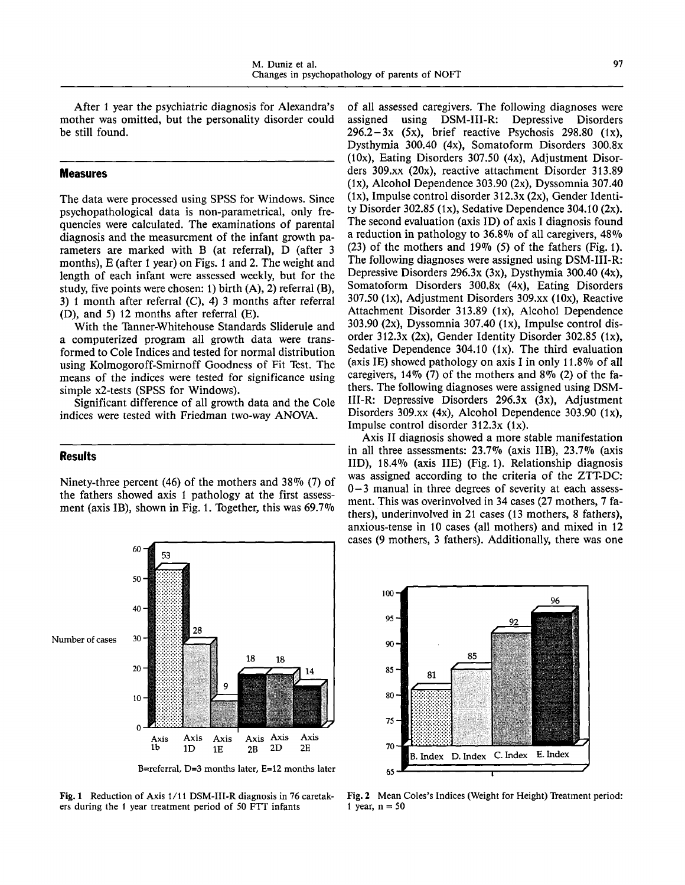After 1 year the psychiatric diagnosis for Alexandra's mother was omitted, but the personality disorder could be still found.

#### **Measures**

The data were processed using SPSS for Windows. Since psychopathological data is non-parametrical, only frequencies were calculated. The examinations of parental diagnosis and the measurement of the infant growth parameters are marked with B (at referral), D (after 3 months), E (after 1 year) on Figs. 1 and 2. The weight and length of each infant were assessed weekly, but for the study, five points were chosen: 1) birth (A), 2) referral (B), 3) I month after referral (C), 4) 3 months after referral (D), and 5) 12 months after referral (E).

With the Tanner-Whitehouse Standards Sliderule and a computerized program all growth data were transformed to Cole Indices and tested for normal distribution using Kolmogoroff-Smirnoff Goodness of Fit Test. The means of the indices were tested for significance using simple x2-tests (SPSS for Windows).

Significant difference of all growth data and the Cole indices were tested with Friedman two-way ANOVA.

### **Results**

Ninety-three percent  $(46)$  of the mothers and 38%  $(7)$  of the fathers showed axis 1 pathology at the first assessment (axis IB), shown in Fig. 1. Together, this was  $69.7\%$ 



B=referral, D=3 months later, E=12 months later

ers during the 1 year treatment period of 50 FTT infants

of all assessed caregivers. The following diagnoses were assigned using DSM-III-R: Depressive Disorders  $296.2-3x$  (5x), brief reactive Psychosis 298.80 (1x), Dysthymia 300.40 (4x), Somatoform Disorders 300.8x (10x), Eating Disorders 307.50 (4x), Adjustment Disorders 309.xx (20x), reactive attachment Disorder 313.89 (1x), Alcohol Dependence 303.90  $(2x)$ , Dyssomnia 307.40 (Ix), Impulse control disorder 312.3x (2x), Gender Identity Disorder 302.85 (1x), Sedative Dependence 304.10 (2x). The second evaluation (axis ID) of axis I diagnosis found a reduction in pathology to  $36.8\%$  of all caregivers,  $48\%$  $(23)$  of the mothers and 19% (5) of the fathers (Fig. 1). The following diagnoses were assigned using DSM-III-R: Depressive Disorders 296.3x (3x), Dysthymia 300.40 (4x), Somatoform Disorders 300.8x (4x), Eating Disorders 307.50 (Ix), Adjustment Disorders 309.xx (10x), Reactive Attachment Disorder 313.89 (Ix), Alcohol Dependence 303.90 (2x), Dyssomnia 307.40 (Ix), Impulse control disorder 312.3x (2x), Gender Identity Disorder 302.85 (Ix), Sedative Dependence 304.10 (Ix). The third evaluation (axis IE) showed pathology on axis I in only  $11.8\%$  of all caregivers, 14% (7) of the mothers and 8% (2) of the fathers. The following diagnoses were assigned using DSM-III-R: Depressive Disorders 296.3x (3x), Adjustment Disorders 309.xx (4x), Alcohol Dependence 303.90 (Ix), Impulse control disorder 312.3x (Ix).

Axis II diagnosis showed a more stable manifestation in all three assessments:  $23.7\%$  (axis IIB),  $23.7\%$  (axis liD), 18.4070 (axis liE) (Fig. 1). Relationship diagnosis was assigned according to the criteria of the ZTT-DC:  $0-3$  manual in three degrees of severity at each assessment. This was overinvolved in 34 cases (27 mothers, 7 fathers), underinvolved in 21 cases (13 mothers, 8 fathers), anxious-tense in 10 cases (all mothers) and mixed in 12 cases (9 mothers, 3 fathers). Additionally, there was one



Fig. 1 Reduction of Axis 1/11 DSM-III-R diagnosis in 76 caretak- Fig. 2 Mean Coles's Indices (Weight for Height) Treatment period:<br>ers during the 1 year treatment period of 50 FTT infants 1 year, n = 50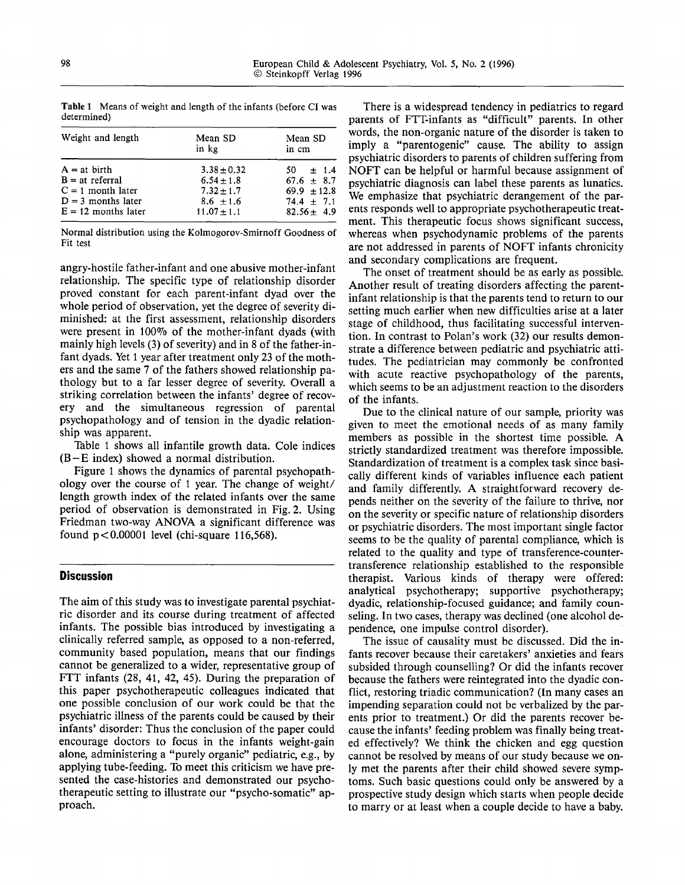Table 1 Means of weight and length of the infants (before CI was determined)

| Weight and length     | Mean SD<br>in kg | Mean SD<br>in cm |
|-----------------------|------------------|------------------|
| $A = at birth$        | $3.38 \pm 0.32$  | $50 + 1.4$       |
| $B = at$ referral     | $6.54 + 1.8$     | $67.6 \pm 8.7$   |
| $C = 1$ month later   | $7.32 + 1.7$     | $69.9 + 12.8$    |
| $D = 3$ months later  | $8.6 + 1.6$      | $74.4 \pm 7.1$   |
| $E = 12$ months later | $11.07 \pm 1.1$  | $82.56 + 4.9$    |

Normal distribution using the Kolmogorov-Smirnoff Goodness of Fit test

angry-hostile father-infant and one abusive mother-infant relationship. The specific type of relationship disorder proved constant for each parent-infant dyad over the whole period of observation, yet the degree of severity diminished: at the first assessment, relationship disorders were present in 100% of the mother-infant dyads (with mainly high levels (3) of severity) and in 8 of the father-infant dyads. Yet 1 year after treatment only 23 of the mothers and the same 7 of the fathers showed relationship pathology but to a far lesser degree of severity. Overall a striking correlation between the infants' degree of recovery and the simultaneous regression of parental psychopathology and of tension in the dyadic relationship was apparent.

Table 1 shows all infantile growth data. Cole indices  $(B-E$  index) showed a normal distribution.

Figure 1 shows the dynamics of parental psychopathology over the course of 1 year. The change of weight/ length growth index of the related infants over the same period of observation is demonstrated in Fig. 2. Using Friedman two-way ANOVA a significant difference was found p < 0.00001 level (chi-square 116,568).

### **Discussion**

The aim of this study was to investigate parental psychiatric disorder and its course during treatment of affected infants. The possible bias introduced by investigating a clinically referred sample, as opposed to a non-referred, community based population, means that our findings cannot be generalized to a wider, representative group of FTT infants (28, 41, 42, 45). During the preparation of this paper psychotherapeutic colleagues indicated that one possible conclusion of our work could be that the psychiatric illness of the parents could be caused by their infants' disorder: Thus the conclusion of the paper could encourage doctors to focus in the infants weight-gain alone, administering a "purely organic" pediatric, e.g., by applying tube-feeding. To meet this criticism we have presented the case-histories and demonstrated our psychotherapeutic setting to illustrate our "psycho-somatic" approach.

There is a widespread tendency in pediatrics to regard parents of FTT-infants as "difficult" parents. In other words, the non-organic nature of the disorder is taken to imply a "parentogenic" cause. The ability to assign psychiatric disorders to parents of children suffering from NOFT can be helpful or harmful because assignment of psychiatric diagnosis can label these parents as lunatics. We emphasize that psychiatric derangement of the parents responds well to appropriate psychotherapeutic treatment. This therapeutic focus shows significant success, whereas when psychodynamic problems of the parents are not addressed in parents of NOFT infants chronicity and secondary complications are frequent.

The onset of treatment should be as early as possible. Another result of treating disorders affecting the parentinfant relationship is that the parents tend to return to our setting much earlier when new difficulties arise at a later stage of childhood, thus facilitating successful intervention. In contrast to Polan's work (32) our results demonstrate a difference between pediatric and psychiatric attitudes. The pediatrician may commonly be confronted with acute reactive psychopathology of the parents, which seems to be an adjustment reaction to the disorders of the infants.

Due to the clinical nature of our sample, priority was given to meet the emotional needs of as many family members as possible in the shortest time possible. A strictly standardized treatment was therefore impossible. Standardization of treatment is a complex task since basically different kinds of variables influence each patient and family differently. A straightforward recovery depends neither on the severity of the failure to thrive, nor on the severity or specific nature of relationship disorders or psychiatric disorders. The most important single factor seems to be the quality of parental compliance, which is related to the quality and type of transference-countertransference relationship established to the responsible therapist. Various kinds of therapy were offered: analytical psychotherapy; supportive psychotherapy; dyadic, relationship-focused guidance; and family counseling. In two cases, therapy was declined (one alcohol dependence, one impulse control disorder).

The issue of causality must be discussed. Did the infants recover because their caretakers' anxieties and fears subsided through counselling? Or did the infants recover because the fathers were reintegrated into the dyadic conflict, restoring triadic communication? (In many cases an impending separation could not be verbalized by the parents prior to treatment.) Or did the parents recover because the infants' feeding problem was finally being treated effectively? We think the chicken and egg question cannot be resolved by means of our study because we only met the parents after their child showed severe symptoms. Such basic questions could only be answered by a prospective study design which starts when people decide to marry or at least when a couple decide to have a baby.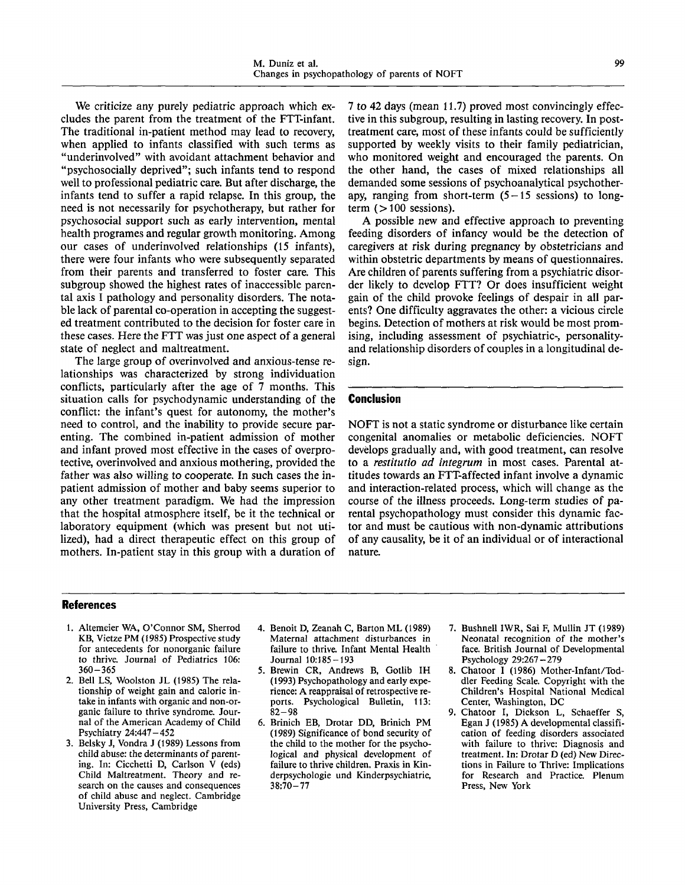We criticize any purely pediatric approach which excludes the parent from the treatment of the FTT-infant. The traditional in-patient method may lead to recovery, when applied to infants classified with such terms as "underinvolved" with avoidant attachment behavior and "psychosocially deprived"; such infants tend to respond well to professional pediatric care. But after discharge, the infants tend to suffer a rapid relapse. In this group, the need is not necessarily for psychotherapy, but rather for psychosocial support such as early intervention, mental health programes and regular growth monitoring. Among our cases of underinvolved relationships (15 infants), there were four infants who were subsequently separated from their parents and transferred to foster care. This subgroup showed the highest rates of inaccessible parental axis I pathology and personality disorders. The notable lack of parental co-operation in accepting the suggested treatment contributed to the decision for foster care in these cases. Here the FTT was just one aspect of a general state of neglect and maltreatment.

The large group of overinvolved and anxious-tense relationships was characterized by strong individuation conflicts, particularly after the age of 7 months. This situation calls for psychodynamic understanding of the conflict: the infant's quest for autonomy, the mother's need to control, and the inability to provide secure parenting. The combined in-patient admission of mother and infant proved most effective in the cases of overprotective, overinvolved and anxious mothering, provided the father was also willing to cooperate. In such cases the inpatient admission of mother and baby seems superior to any other treatment paradigm. We had the impression that the hospital atmosphere itself, be it the technical or laboratory equipment (which was present but not utilized), had a direct therapeutic effect on this group of mothers. In-patient stay in this group with a duration of 7 to 42 days (mean 11.7) proved most convincingly effective in this subgroup, resulting in lasting recovery. In posttreatment care, most of these infants could be sufficiently supported by weekly visits to their family pediatrician, who monitored weight and encouraged the parents. On the other hand, the cases of mixed relationships all demanded some sessions of psychoanalytical psychotherapy, ranging from short-term  $(5-15$  sessions) to longterm  $($  > 100 sessions).

A possible new and effective approach to preventing feeding disorders of infancy would be the detection of caregivers at risk during pregnancy by obstetricians and within obstetric departments by means of questionnaires. Are children of parents suffering from a psychiatric disorder likely to develop FTT? Or does insufficient weight gain of the child provoke feelings of despair in all parents? One difficulty aggravates the other: a vicious circle begins. Detection of mothers at risk would be most promising, including assessment of psychiatric-, personalityand relationship disorders of couples in a longitudinal design.

## **Conclusion**

NOFT is not a static syndrome or disturbance like certain congenital anomalies or metabolic deficiencies. NOFT develops gradually and, with good treatment, can resolve to a *restitutio ad integrum* in most cases. Parental attitudes towards an FTT-affected infant involve a dynamic and interaction-related process, which will change as the course of the illness proceeds. Long-term studies of parental psychopathology must consider this dynamic factor and must be cautious with non-dynamic attributions of any causality, be it of an individual or of interactional nature.

#### **References**

- 1. Altemeier WA, O'Connor SM, Sherrod KB, Vietze PM (1985) Prospective study for antecedents for nonorganic failure to thrive. Journal of Pediatrics 106:  $360 - 365$
- 2. Bell LS, Woolston JL (1985) The relationship of weight gain and caloric intake in infants with organic and non-organic failure to thrive syndrome. Journal of the American Academy of Child Psychiatry 24:447-452
- 3. Belsky J, Vondra J (1989) Lessons from child abuse: the determinants of parenting. In: Cicchetti D, Carlson V (eds) Child Maltreatment. Theory and research on the causes and consequences of child abuse and neglect. Cambridge University Press, Cambridge
- 4. Benoit D, Zeanah C, Barton ML (1989) Maternal attachment disturbances in failure to thrive. Infant Mental Health Journal 10:185-193
- 5. Brewin CR, Andrews B, Gotlib IH (1993) Psychopathology and early experience: A reappraisal of retrospective reports. Psychological Bulletin, 113:  $82 - 98$
- 6. Brinich EB, Drotar DD, Brinich PM (1989) Significance of bond security of the child to the mother for the psychological and physical development of failure to thrive children, Praxis in Kinderpsychologie und Kinderpsychiatrie, 38:70-77
- **7. Bushnell IWR, Sai F,** Mullin JT (1989) Neonatal recognition of the mother's face. British Journal of Developmental Psychology 29:267-279
- 8. Chatoor I (1986) Mother-Infant/Toddler Feeding Scale. Copyright with the Children's Hospital National Medical Center, Washington, DC
- 9. Chatoor I, Dickson L, Schaeffer S, Egan J (1985) A developmental classification of feeding disorders associated with failure to thrive: Diagnosis and treatment. In: Drotar D (ed) New Directions in Failure to Thrive: Implications for Research and Practice. Plenum Press, New York